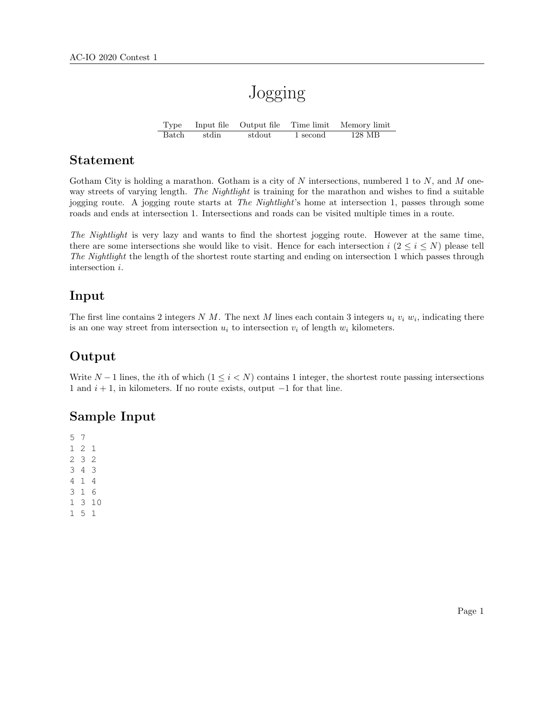# Jogging

Type Input file Output file Time limit Memory limit Batch stdin stdout 1 second 128 MB

#### Statement

Gotham City is holding a marathon. Gotham is a city of N intersections, numbered 1 to N, and M oneway streets of varying length. The Nightlight is training for the marathon and wishes to find a suitable jogging route. A jogging route starts at The Nightlight's home at intersection 1, passes through some roads and ends at intersection 1. Intersections and roads can be visited multiple times in a route.

The Nightlight is very lazy and wants to find the shortest jogging route. However at the same time, there are some intersections she would like to visit. Hence for each intersection  $i (2 \le i \le N)$  please tell The Nightlight the length of the shortest route starting and ending on intersection 1 which passes through intersection i.

## Input

The first line contains 2 integers N M. The next M lines each contain 3 integers  $u_i$   $v_i$   $w_i$ , indicating there is an one way street from intersection  $u_i$  to intersection  $v_i$  of length  $w_i$  kilometers.

## Output

Write  $N-1$  lines, the *i*th of which  $(1 \le i < N)$  contains 1 integer, the shortest route passing intersections 1 and  $i + 1$ , in kilometers. If no route exists, output  $-1$  for that line.

## Sample Input